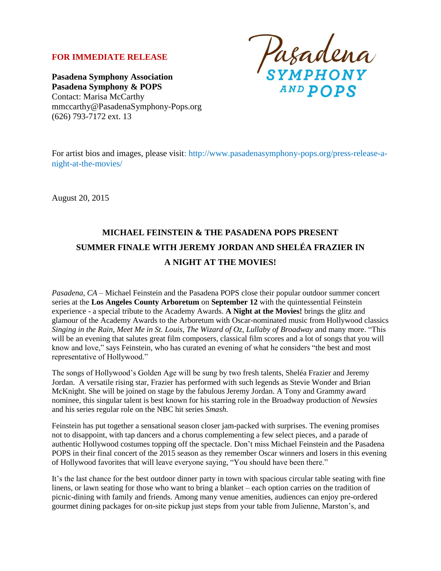## **FOR IMMEDIATE RELEASE**

**Pasadena Symphony Association Pasadena Symphony & POPS** Contact: Marisa McCarthy mmccarthy@PasadenaSymphony-Pops.org (626) 793-7172 ext. 13

Pasadena<br>SYMPHONY

For artist bios and images, please visit: http://www.pasadenasymphony-pops.org/press-release-anight-at-the-movies/

August 20, 2015

# **MICHAEL FEINSTEIN & THE PASADENA POPS PRESENT SUMMER FINALE WITH JEREMY JORDAN AND SHELÉA FRAZIER IN A NIGHT AT THE MOVIES!**

*Pasadena, CA –* Michael Feinstein and the Pasadena POPS close their popular outdoor summer concert series at the **Los Angeles County Arboretum** on **September 12** with the quintessential Feinstein experience - a special tribute to the Academy Awards. **A Night at the Movies!** brings the glitz and glamour of the Academy Awards to the Arboretum with Oscar-nominated music from Hollywood classics *Singing in the Rain*, *Meet Me in St. Louis*, *The Wizard of Oz, Lullaby of Broadway* and many more. "This will be an evening that salutes great film composers, classical film scores and a lot of songs that you will know and love," says Feinstein, who has curated an evening of what he considers "the best and most representative of Hollywood."

The songs of Hollywood's Golden Age will be sung by two fresh talents, Sheléa Frazier and Jeremy Jordan. A versatile rising star, Frazier has performed with such legends as Stevie Wonder and Brian McKnight. She will be joined on stage by the fabulous Jeremy Jordan. A Tony and Grammy award nominee, this singular talent is best known for his starring role in the Broadway production of *Newsies*  and his series regular role on the NBC hit series *Smash*.

Feinstein has put together a sensational season closer jam-packed with surprises. The evening promises not to disappoint, with tap dancers and a chorus complementing a few select pieces, and a parade of authentic Hollywood costumes topping off the spectacle. Don't miss Michael Feinstein and the Pasadena POPS in their final concert of the 2015 season as they remember Oscar winners and losers in this evening of Hollywood favorites that will leave everyone saying, "You should have been there."

It's the last chance for the best outdoor dinner party in town with spacious circular table seating with fine linens, or lawn seating for those who want to bring a blanket – each option carries on the tradition of picnic-dining with family and friends. Among many venue amenities, audiences can enjoy pre-ordered gourmet dining packages for on-site pickup just steps from your table from Julienne, Marston's, and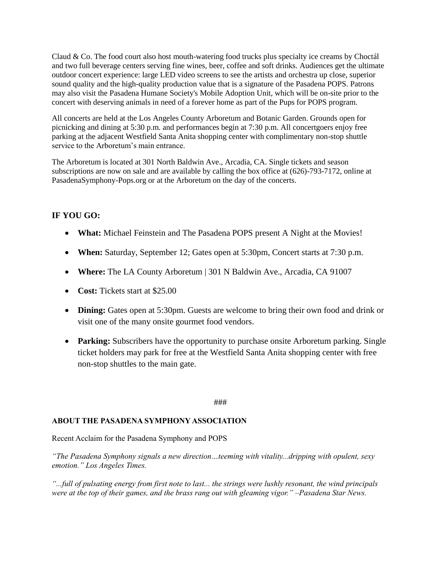Claud & Co. The food court also host mouth-watering food trucks plus specialty ice creams by Choctál and two full beverage centers serving fine wines, beer, coffee and soft drinks. Audiences get the ultimate outdoor concert experience: large LED video screens to see the artists and orchestra up close, superior sound quality and the high-quality production value that is a signature of the Pasadena POPS. Patrons may also visit the Pasadena Humane Society's Mobile Adoption Unit, which will be on-site prior to the concert with deserving animals in need of a forever home as part of the Pups for POPS program.

All concerts are held at the Los Angeles County Arboretum and Botanic Garden. Grounds open for picnicking and dining at 5:30 p.m. and performances begin at 7:30 p.m. All concertgoers enjoy free parking at the adjacent Westfield Santa Anita shopping center with complimentary non-stop shuttle service to the Arboretum's main entrance.

The Arboretum is located at 301 North Baldwin Ave., Arcadia, CA. Single tickets and season subscriptions are now on sale and are available by calling the box office at (626)-793-7172, online at PasadenaSymphony-Pops.org or at the Arboretum on the day of the concerts.

## **IF YOU GO:**

- **What:** Michael Feinstein and The Pasadena POPS present A Night at the Movies!
- **When:** Saturday, September 12; Gates open at 5:30pm, Concert starts at 7:30 p.m.
- **Where:** The LA County Arboretum | 301 N Baldwin Ave., Arcadia, CA 91007
- **Cost:** Tickets start at \$25.00
- **Dining:** Gates open at 5:30pm. Guests are welcome to bring their own food and drink or visit one of the many onsite gourmet food vendors.
- **Parking:** Subscribers have the opportunity to purchase onsite Arboretum parking. Single ticket holders may park for free at the Westfield Santa Anita shopping center with free non-stop shuttles to the main gate.

### ###

### **ABOUT THE PASADENA SYMPHONY ASSOCIATION**

Recent Acclaim for the Pasadena Symphony and POPS

*"The Pasadena Symphony signals a new direction…teeming with vitality...dripping with opulent, sexy emotion." Los Angeles Times.* 

*"...full of pulsating energy from first note to last... the strings were lushly resonant, the wind principals were at the top of their games, and the brass rang out with gleaming vigor." –Pasadena Star News.*